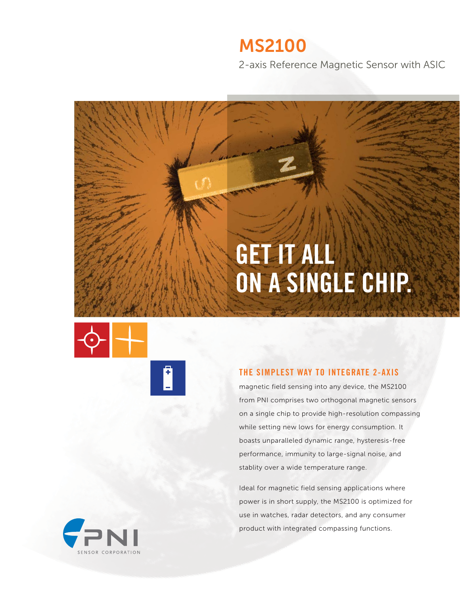# **MS2100**

2-axis Reference Magnetic Sensor with ASIC

# GET IT ALL ON A SINGLE CHIP.





## THE SIMPLEST WAY TO INTEGRATE 2-AXIS

magnetic field sensing into any device, the MS2100 from PNI comprises two orthogonal magnetic sensors on a single chip to provide high-resolution compassing while setting new lows for energy consumption. It boasts unparalleled dynamic range, hysteresis-free performance, immunity to large-signal noise, and stablity over a wide temperature range.

Ideal for magnetic field sensing applications where power is in short supply, the MS2100 is optimized for use in watches, radar detectors, and any consumer product with integrated compassing functions.